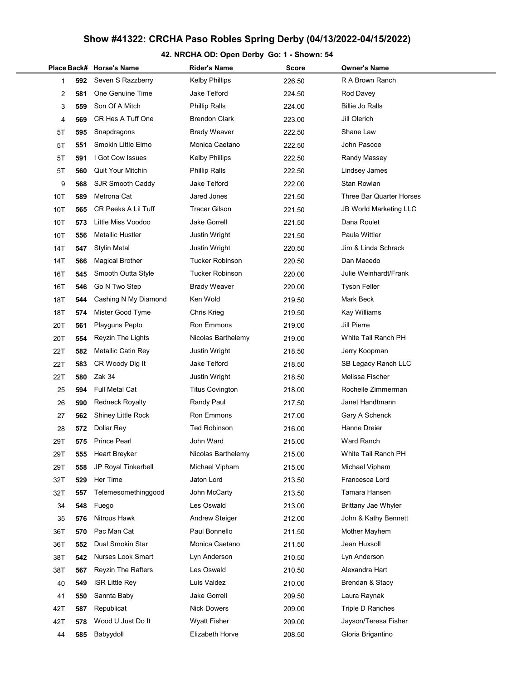## Show #41322: CRCHA Paso Robles Spring Derby (04/13/2022-04/15/2022)

## 42. NRCHA OD: Open Derby Go: 1 - Shown: 54

|     |     | Place Back# Horse's Name  | Rider's Name           | Score  | Owner's Name                  |
|-----|-----|---------------------------|------------------------|--------|-------------------------------|
| 1   | 592 | Seven S Razzberry         | <b>Kelby Phillips</b>  | 226.50 | R A Brown Ranch               |
| 2   | 581 | One Genuine Time          | Jake Telford           | 224.50 | Rod Davey                     |
| 3   | 559 | Son Of A Mitch            | <b>Phillip Ralls</b>   | 224.00 | <b>Billie Jo Ralls</b>        |
| 4   | 569 | CR Hes A Tuff One         | <b>Brendon Clark</b>   | 223.00 | Jill Olerich                  |
| 5Τ  | 595 | Snapdragons               | <b>Brady Weaver</b>    | 222.50 | Shane Law                     |
| 5Τ  | 551 | Smokin Little Elmo        | Monica Caetano         | 222.50 | John Pascoe                   |
| 5Τ  | 591 | I Got Cow Issues          | <b>Kelby Phillips</b>  | 222.50 | Randy Massey                  |
| 5Τ  | 560 | <b>Quit Your Mitchin</b>  | <b>Phillip Ralls</b>   | 222.50 | Lindsey James                 |
| 9   | 568 | SJR Smooth Caddy          | Jake Telford           | 222.00 | Stan Rowlan                   |
| 10T | 589 | Metrona Cat               | Jared Jones            | 221.50 | Three Bar Quarter Horses      |
| 10T | 565 | CR Peeks A Lil Tuff       | <b>Tracer Gilson</b>   | 221.50 | <b>JB World Marketing LLC</b> |
| 10T | 573 | Little Miss Voodoo        | Jake Gorrell           | 221.50 | Dana Roulet                   |
| 10T | 556 | <b>Metallic Hustler</b>   | <b>Justin Wright</b>   | 221.50 | Paula Wittler                 |
| 14T | 547 | <b>Stylin Metal</b>       | Justin Wright          | 220.50 | Jim & Linda Schrack           |
| 14T | 566 | <b>Magical Brother</b>    | <b>Tucker Robinson</b> | 220.50 | Dan Macedo                    |
| 16T | 545 | Smooth Outta Style        | <b>Tucker Robinson</b> | 220.00 | Julie Weinhardt/Frank         |
| 16T | 546 | Go N Two Step             | <b>Brady Weaver</b>    | 220.00 | <b>Tyson Feller</b>           |
| 18T | 544 | Cashing N My Diamond      | Ken Wold               | 219.50 | Mark Beck                     |
| 18T | 574 | Mister Good Tyme          | Chris Krieg            | 219.50 | Kay Williams                  |
| 20T | 561 | Playguns Pepto            | Ron Emmons             | 219.00 | Jill Pierre                   |
| 20T | 554 | Reyzin The Lights         | Nicolas Barthelemy     | 219.00 | White Tail Ranch PH           |
| 22T | 582 | Metallic Catin Rey        | Justin Wright          | 218.50 | Jerry Koopman                 |
| 22T | 583 | CR Woody Dig It           | Jake Telford           | 218.50 | SB Legacy Ranch LLC           |
| 22T | 580 | Zak 34                    | Justin Wright          | 218.50 | Melissa Fischer               |
| 25  | 594 | Full Metal Cat            | <b>Titus Covington</b> | 218.00 | Rochelle Zimmerman            |
| 26  | 590 | <b>Redneck Royalty</b>    | Randy Paul             | 217.50 | Janet Handtmann               |
| 27  | 562 | Shiney Little Rock        | Ron Emmons             | 217.00 | Gary A Schenck                |
| 28  | 572 | Dollar Rey                | <b>Ted Robinson</b>    | 216.00 | Hanne Dreier                  |
| 29T | 575 | <b>Prince Pearl</b>       | John Ward              | 215.00 | Ward Ranch                    |
| 29T | 555 | Heart Breyker             | Nicolas Barthelemy     | 215.00 | White Tail Ranch PH           |
| 29T | 558 | JP Royal Tinkerbell       | Michael Vipham         | 215.00 | Michael Vipham                |
| 32T | 529 | Her Time                  | Jaton Lord             | 213.50 | Francesca Lord                |
| 32T | 557 | Telemesomethinggood       | John McCarty           | 213.50 | Tamara Hansen                 |
| 34  | 548 | Fuego                     | Les Oswald             | 213.00 | Brittany Jae Whyler           |
| 35  | 576 | Nitrous Hawk              | <b>Andrew Steiger</b>  | 212.00 | John & Kathy Bennett          |
| 36T | 570 | Pac Man Cat               | Paul Bonnello          | 211.50 | Mother Mayhem                 |
| 36T | 552 | Dual Smokin Star          | Monica Caetano         | 211.50 | Jean Huxsoll                  |
| 38T | 542 | Nurses Look Smart         | Lyn Anderson           | 210.50 | Lyn Anderson                  |
| 38T | 567 | <b>Reyzin The Rafters</b> | Les Oswald             | 210.50 | Alexandra Hart                |
| 40  | 549 | <b>ISR Little Rey</b>     | Luis Valdez            | 210.00 | Brendan & Stacy               |
| 41  | 550 | Sannta Baby               | Jake Gorrell           | 209.50 | Laura Raynak                  |
| 42T | 587 | Republicat                | <b>Nick Dowers</b>     | 209.00 | Triple D Ranches              |
| 42T | 578 | Wood U Just Do It         | <b>Wyatt Fisher</b>    | 209.00 | Jayson/Teresa Fisher          |
| 44  | 585 | Babyydoll                 | Elizabeth Horve        | 208.50 | Gloria Brigantino             |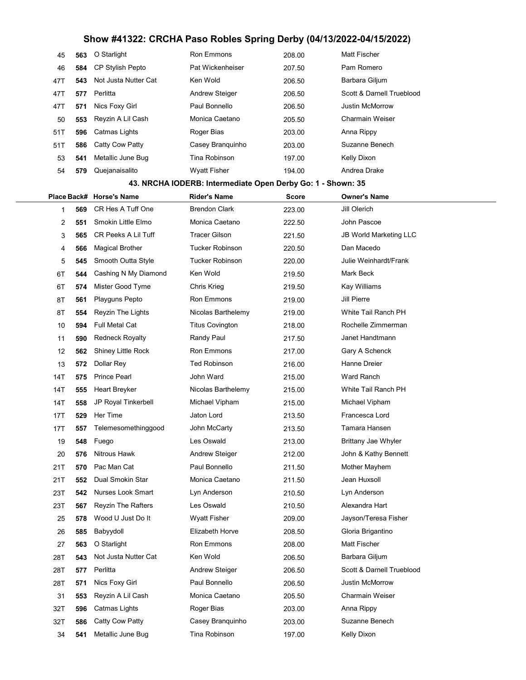## Show #41322: CRCHA Paso Robles Spring Derby (04/13/2022-04/15/2022)

| 45                                                          | 563      | O Starlight               | Ron Emmons             | 208.00       | Matt Fischer                  |  |  |  |  |
|-------------------------------------------------------------|----------|---------------------------|------------------------|--------------|-------------------------------|--|--|--|--|
| 46                                                          | 584      | CP Stylish Pepto          | Pat Wickenheiser       | 207.50       | Pam Romero                    |  |  |  |  |
| 47T                                                         | 543      | Not Justa Nutter Cat      | Ken Wold               | 206.50       | Barbara Giljum                |  |  |  |  |
| 47T                                                         | 577      | Perlitta                  | <b>Andrew Steiger</b>  | 206.50       | Scott & Darnell Trueblood     |  |  |  |  |
| 47T                                                         | 571      | Nics Foxy Girl            | Paul Bonnello          | 206.50       | <b>Justin McMorrow</b>        |  |  |  |  |
| 50                                                          | 553      | Reyzin A Lil Cash         | Monica Caetano         | 205.50       | <b>Charmain Weiser</b>        |  |  |  |  |
| 51T                                                         | 596      | Catmas Lights             | Roger Bias             | 203.00       | Anna Rippy                    |  |  |  |  |
| 51T                                                         | 586      | Catty Cow Patty           | Casey Branquinho       | 203.00       | Suzanne Benech                |  |  |  |  |
| 53                                                          | 541      | Metallic June Bug         | Tina Robinson          | 197.00       | Kelly Dixon                   |  |  |  |  |
| 54                                                          | 579      | Quejanaisalito            | <b>Wyatt Fisher</b>    | 194.00       | Andrea Drake                  |  |  |  |  |
| 43. NRCHA IODERB: Intermediate Open Derby Go: 1 - Shown: 35 |          |                           |                        |              |                               |  |  |  |  |
|                                                             |          | Place Back# Horse's Name  | <b>Rider's Name</b>    | <b>Score</b> | <b>Owner's Name</b>           |  |  |  |  |
|                                                             | 569<br>1 | CR Hes A Tuff One         | <b>Brendon Clark</b>   | 223.00       | Jill Olerich                  |  |  |  |  |
|                                                             | 2<br>551 | Smokin Little Elmo        | Monica Caetano         | 222.50       | John Pascoe                   |  |  |  |  |
|                                                             | 3<br>565 | CR Peeks A Lil Tuff       | <b>Tracer Gilson</b>   | 221.50       | <b>JB World Marketing LLC</b> |  |  |  |  |
|                                                             | 566<br>4 | <b>Magical Brother</b>    | <b>Tucker Robinson</b> | 220.50       | Dan Macedo                    |  |  |  |  |
|                                                             | 5<br>545 | Smooth Outta Style        | <b>Tucker Robinson</b> | 220.00       | Julie Weinhardt/Frank         |  |  |  |  |
| 6T                                                          | 544      | Cashing N My Diamond      | Ken Wold               | 219.50       | <b>Mark Beck</b>              |  |  |  |  |
| 6T                                                          | 574      | Mister Good Tyme          | Chris Krieg            | 219.50       | Kay Williams                  |  |  |  |  |
| 8T                                                          | 561      | Playguns Pepto            | Ron Emmons             | 219.00       | Jill Pierre                   |  |  |  |  |
| 8T                                                          | 554      | Reyzin The Lights         | Nicolas Barthelemy     | 219.00       | White Tail Ranch PH           |  |  |  |  |
| 10                                                          | 594      | Full Metal Cat            | <b>Titus Covington</b> | 218.00       | Rochelle Zimmerman            |  |  |  |  |
| 11                                                          | 590      | <b>Redneck Royalty</b>    | Randy Paul             | 217.50       | Janet Handtmann               |  |  |  |  |
| 12                                                          | 562      | <b>Shiney Little Rock</b> | Ron Emmons             | 217.00       | Gary A Schenck                |  |  |  |  |
| 13                                                          | 572      | Dollar Rey                | <b>Ted Robinson</b>    | 216.00       | Hanne Dreier                  |  |  |  |  |
| 14T                                                         | 575      | <b>Prince Pearl</b>       | John Ward              | 215.00       | <b>Ward Ranch</b>             |  |  |  |  |
| 14T                                                         | 555      | Heart Breyker             | Nicolas Barthelemy     | 215.00       | White Tail Ranch PH           |  |  |  |  |
| 14T                                                         | 558      | JP Royal Tinkerbell       | Michael Vipham         | 215.00       | Michael Vipham                |  |  |  |  |
| 17T                                                         | 529      | Her Time                  | Jaton Lord             | 213.50       | Francesca Lord                |  |  |  |  |
| 17T                                                         | 557      | Telemesomethinggood       | John McCarty           | 213.50       | Tamara Hansen                 |  |  |  |  |
| 19                                                          | 548      | Fuego                     | Les Oswald             | 213.00       | Brittany Jae Whyler           |  |  |  |  |
| 20                                                          | 576      | <b>Nitrous Hawk</b>       | <b>Andrew Steiger</b>  | 212.00       | John & Kathy Bennett          |  |  |  |  |
| 21T                                                         | 570      | Pac Man Cat               | Paul Bonnello          | 211.50       | Mother Mayhem                 |  |  |  |  |
| 21T                                                         | 552      | Dual Smokin Star          | Monica Caetano         | 211.50       | Jean Huxsoll                  |  |  |  |  |
| 23T                                                         | 542      | <b>Nurses Look Smart</b>  | Lyn Anderson           | 210.50       | Lyn Anderson                  |  |  |  |  |
| 23T                                                         | 567      | <b>Reyzin The Rafters</b> | Les Oswald             | 210.50       | Alexandra Hart                |  |  |  |  |
| 25                                                          | 578      | Wood U Just Do It         | <b>Wyatt Fisher</b>    | 209.00       | Jayson/Teresa Fisher          |  |  |  |  |
| 26                                                          | 585      | Babyydoll                 | Elizabeth Horve        | 208.50       | Gloria Brigantino             |  |  |  |  |
| 27                                                          | 563      | O Starlight               | <b>Ron Emmons</b>      | 208.00       | <b>Matt Fischer</b>           |  |  |  |  |
| 28T                                                         | 543      | Not Justa Nutter Cat      | Ken Wold               | 206.50       | Barbara Giljum                |  |  |  |  |
| 28T                                                         | 577      | Perlitta                  | <b>Andrew Steiger</b>  | 206.50       | Scott & Darnell Trueblood     |  |  |  |  |
| 28T                                                         | 571      | Nics Foxy Girl            | Paul Bonnello          | 206.50       | <b>Justin McMorrow</b>        |  |  |  |  |
| 31                                                          | 553      | Reyzin A Lil Cash         | Monica Caetano         | 205.50       | <b>Charmain Weiser</b>        |  |  |  |  |
| 32T                                                         | 596      | Catmas Lights             | Roger Bias             | 203.00       | Anna Rippy                    |  |  |  |  |
| 32T                                                         | 586      | Catty Cow Patty           | Casey Branquinho       | 203.00       | Suzanne Benech                |  |  |  |  |
| 34                                                          | 541      | Metallic June Bug         | Tina Robinson          | 197.00       | Kelly Dixon                   |  |  |  |  |